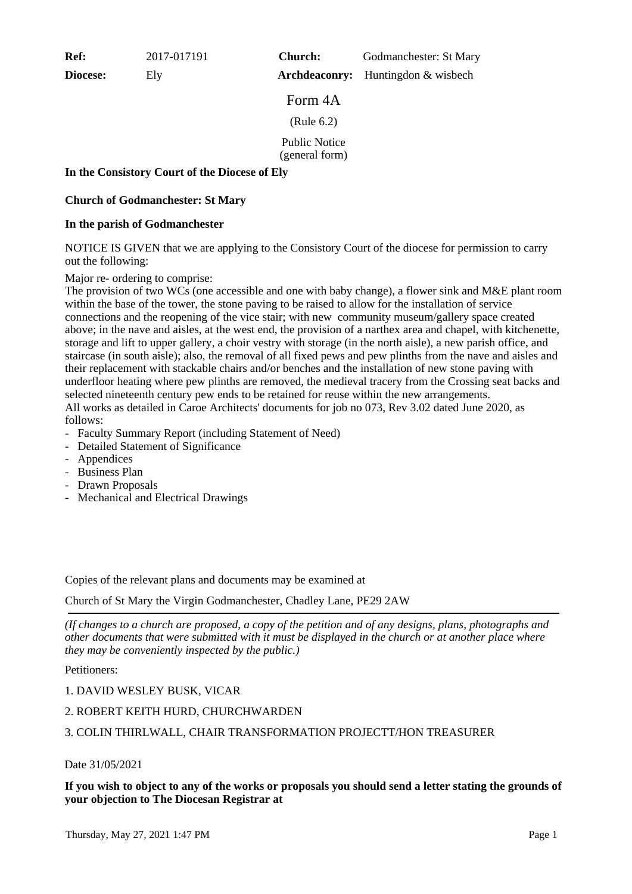**Ref:** 2017-017191

**Diocese:** Ely

**Archdeaconry:** Huntingdon & wisbech **Church:** Godmanchester: St Mary

Form 4A

(Rule 6.2)

Public Notice (general form)

**In the Consistory Court of the Diocese of Ely**

## **Church of Godmanchester: St Mary**

### **In the parish of Godmanchester**

NOTICE IS GIVEN that we are applying to the Consistory Court of the diocese for permission to carry out the following:

Major re- ordering to comprise:

The provision of two WCs (one accessible and one with baby change), a flower sink and M&E plant room within the base of the tower, the stone paving to be raised to allow for the installation of service connections and the reopening of the vice stair; with new community museum/gallery space created above; in the nave and aisles, at the west end, the provision of a narthex area and chapel, with kitchenette, storage and lift to upper gallery, a choir vestry with storage (in the north aisle), a new parish office, and staircase (in south aisle); also, the removal of all fixed pews and pew plinths from the nave and aisles and their replacement with stackable chairs and/or benches and the installation of new stone paving with underfloor heating where pew plinths are removed, the medieval tracery from the Crossing seat backs and selected nineteenth century pew ends to be retained for reuse within the new arrangements. All works as detailed in Caroe Architects' documents for job no 073, Rev 3.02 dated June 2020, as follows:

- Faculty Summary Report (including Statement of Need)
- Detailed Statement of Significance
- Appendices
- Business Plan
- Drawn Proposals
- Mechanical and Electrical Drawings

Copies of the relevant plans and documents may be examined at

Church of St Mary the Virgin Godmanchester, Chadley Lane, PE29 2AW

*(If changes to a church are proposed, a copy of the petition and of any designs, plans, photographs and other documents that were submitted with it must be displayed in the church or at another place where they may be conveniently inspected by the public.)*

Petitioners:

### 1. DAVID WESLEY BUSK, VICAR

# 2. ROBERT KEITH HURD, CHURCHWARDEN

### 3. COLIN THIRLWALL, CHAIR TRANSFORMATION PROJECTT/HON TREASURER

### Date 31/05/2021

### **If you wish to object to any of the works or proposals you should send a letter stating the grounds of your objection to The Diocesan Registrar at**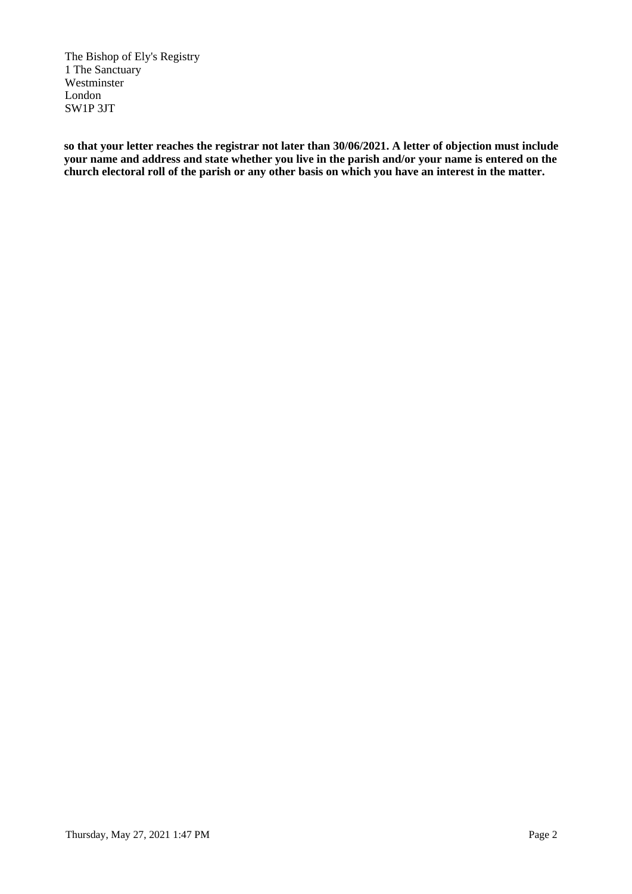The Bishop of Ely's Registry 1 The Sanctuary Westminster London SW1P 3JT

**so that your letter reaches the registrar not later than 30/06/2021. A letter of objection must include your name and address and state whether you live in the parish and/or your name is entered on the church electoral roll of the parish or any other basis on which you have an interest in the matter.**